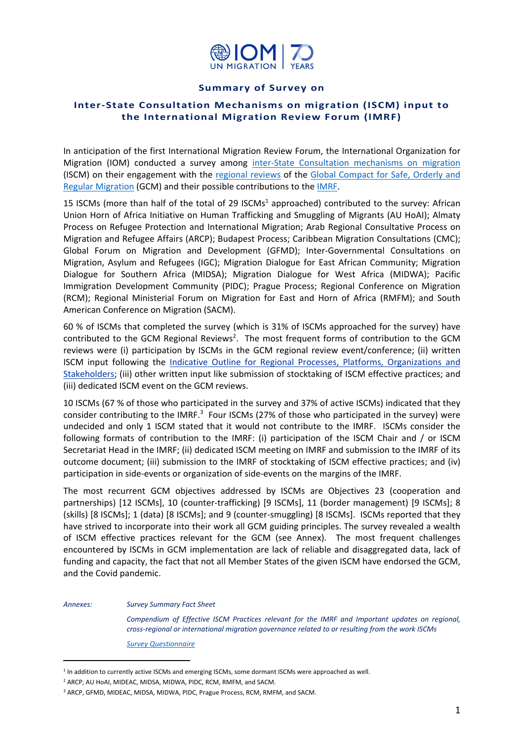

## **Summary of Survey on**

## **Inter-State Consultation Mechanisms on migration (ISCM) input to the International Migration Review Forum (IMRF)**

In anticipation of the first International Migration Review Forum, the International Organization for Migration (IOM) conducted a survey among [inter-State Consultation mechanisms on migration](https://www.iom.int/inter-state-consultation-mechanisms-migration) (ISCM) on their engagement with the [regional reviews](https://migrationnetwork.un.org/regional-reviews) of the Global Compact [for Safe, Orderly and](https://www.un.org/en/development/desa/population/migration/generalassembly/docs/globalcompact/A_RES_73_195.pdf)  [Regular Migration](https://www.un.org/en/development/desa/population/migration/generalassembly/docs/globalcompact/A_RES_73_195.pdf) (GCM) and their possible contributions to the [IMRF.](https://migrationnetwork.un.org/international-migration-review-forum-2022)

15 ISCMs (more than half of the total of 29 ISCMs<sup>1</sup> approached) contributed to the survey: African Union Horn of Africa Initiative on Human Trafficking and Smuggling of Migrants (AU HoAI); Almaty Process on Refugee Protection and International Migration; Arab Regional Consultative Process on Migration and Refugee Affairs (ARCP); Budapest Process; Caribbean Migration Consultations (CMC); Global Forum on Migration and Development (GFMD); Inter-Governmental Consultations on Migration, Asylum and Refugees (IGC); Migration Dialogue for East African Community; Migration Dialogue for Southern Africa (MIDSA); Migration Dialogue for West Africa (MIDWA); Pacific Immigration Development Community (PIDC); Prague Process; Regional Conference on Migration (RCM); Regional Ministerial Forum on Migration for East and Horn of Africa (RMFM); and South American Conference on Migration (SACM).

60 % of ISCMs that completed the survey (which is 31% of ISCMs approached for the survey) have contributed to the GCM Regional Reviews<sup>2</sup>. The most frequent forms of contribution to the GCM reviews were (i) participation by ISCMs in the GCM regional review event/conference; (ii) written ISCM input following the [Indicative Outline for Regional Processes, Platforms, Organizations](https://migrationnetwork.un.org/sites/default/files/docs/indicative_outline_sub-regional_regional_and_cross-regional_processes_platforms_and_organizations_and_stakeholders.pdf) and [Stakeholders;](https://migrationnetwork.un.org/sites/default/files/docs/indicative_outline_sub-regional_regional_and_cross-regional_processes_platforms_and_organizations_and_stakeholders.pdf) (iii) other written input like submission of stocktaking of ISCM effective practices; and (iii) dedicated ISCM event on the GCM reviews.

10 ISCMs (67 % of those who participated in the survey and 37% of active ISCMs) indicated that they consider contributing to the IMRF.<sup>3</sup> Four ISCMs (27% of those who participated in the survey) were undecided and only 1 ISCM stated that it would not contribute to the IMRF. ISCMs consider the following formats of contribution to the IMRF: (i) participation of the ISCM Chair and / or ISCM Secretariat Head in the IMRF; (ii) dedicated ISCM meeting on IMRF and submission to the IMRF of its outcome document; (iii) submission to the IMRF of stocktaking of ISCM effective practices; and (iv) participation in side-events or organization of side-events on the margins of the IMRF.

The most recurrent GCM objectives addressed by ISCMs are Objectives 23 (cooperation and partnerships) [12 ISCMs], 10 (counter-trafficking) [9 ISCMs], 11 (border management) [9 ISCMs]; 8 (skills) [8 ISCMs]; 1 (data) [8 ISCMs]; and 9 (counter-smuggling) [8 ISCMs]. ISCMs reported that they have strived to incorporate into their work all GCM guiding principles. The survey revealed a wealth of ISCM effective practices relevant for the GCM (see Annex). The most frequent challenges encountered by ISCMs in GCM implementation are lack of reliable and disaggregated data, lack of funding and capacity, the fact that not all Member States of the given ISCM have endorsed the GCM, and the Covid pandemic.

*Annexes: Survey Summary Fact Sheet* 

*Compendium of Effective ISCM Practices relevant for the IMRF and Important updates on regional, cross-regional or international migration governance related to or resulting from the work ISCMs*

*[Survey Questionnaire](https://eur02.safelinks.protection.outlook.com/?url=https%3A%2F%2Fforms.office.com%2Fr%2Fkr3Dj82Lab&data=04%7C01%7Ckgalstyan%40iom.int%7C7a722ff6557949884aee08d98cc4d3de%7C1588262d23fb43b4bd6ebce49c8e6186%7C1%7C0%7C637695599255195319%7CUnknown%7CTWFpbGZsb3d8eyJWIjoiMC4wLjAwMDAiLCJQIjoiV2luMzIiLCJBTiI6Ik1haWwiLCJXVCI6Mn0%3D%7C1000&sdata=lHmt%2BcPWhwo59XrrcZ2TfaRVtNmafoG8OWi1E52yaKw%3D&reserved=0)*

<sup>&</sup>lt;sup>1</sup> In addition to currently active ISCMs and emerging ISCMs, some dormant ISCMs were approached as well.

<sup>2</sup> ARCP, AU HoAI, MIDEAC, MIDSA, MIDWA, PIDC, RCM, RMFM, and SACM.

<sup>&</sup>lt;sup>3</sup> ARCP, GFMD, MIDEAC, MIDSA, MIDWA, PIDC, Prague Process, RCM, RMFM, and SACM.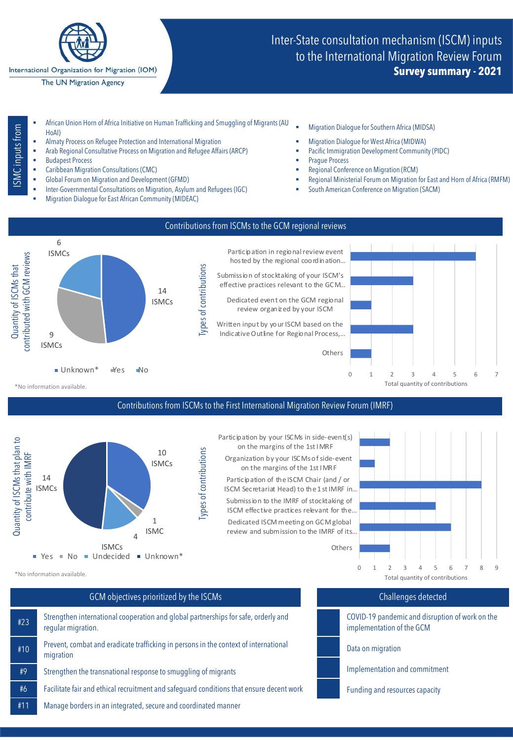

International Organization for Migration (IOM)

The UN Migration Agency

# Inter-State consultation mechanism (ISCM) inputs to the International Migration Review Forum **Survey summary - 2021**

- SMC inputs from ISMC inputs from
- § African Union Horn of Africa Initiative on Human Trafficking and Smuggling of Migrants (AU Amcan omon nom or Amca midadve on numan namcking and Smugginig or wigrants (AO " "Migration Dialogue for Southern Africa (MIDSA)<br>HoAI)
- § Almaty Process on Refugee Protection and International Migration § Migration Dialogue for West Africa (MIDWA)
- § Arab Regional Consultative Process on Migration and Refugee Affairs (ARCP) § Pacific Immigration Development Community (PIDC) Eudapest Process<br>
9 Prague Process → Prague Process → Prague Process → Prague Process → Prague Process → Prague Process → Pragu<br>
9 Prague Process → Prague Process → Process → Prague Process → Prague Process → Prague Proce
- **Caribbean Migration Consultations (CMC)**
- 
- Inter-Governmental Consultations on Migration, Asylum and Refugees (IGC) **South American Conference on Migration (SACM)**
- § Migration Dialogue for East African Community (MIDEAC)
- 
- 
- 
- 
- 
- Global Forum on Migration and Development (GFMD) **Same Case Accord Paradonic Provident Case** Regional Ministerial Forum on Migration for East and Horn of Africa (RMFM)
	-



### Contributions from ISCMs to the First International Migration Review Forum (IMRF)



Participation by your ISCMs in side-event(s) on the margins of the 1st I MRF

Organization by your ISCMs of side-event on the margins of the 1st I MRF

Participation of the ISCM Chair (and / or ISCM Secretariat Head) to the 1 st IMRF in…

Dedicated ISCM meeting on GCM global review and submission to the IMRF of its… Submission to the IMRF of stocktaking of ISCM effective practices relevant for the…



\*No information available.

## GCM objectives prioritized by the ISCMs

#23 Strengthen international cooperation and global partnerships for safe, orderly and regular migration. #10 Prevent, combat and eradicate trafficking in persons in the context of international migration #9 Strengthen the transnational response to smuggling of migrants #6 Facilitate fair and ethical recruitment and safeguard conditions that ensure decent work #11 Manage borders in an integrated, secure and coordinated manner

## Challenges detected

COVID-19 pandemic and disruption of work on the implementation of the GCM

Data on migration

- Implementation and commitment
- Funding and resources capacity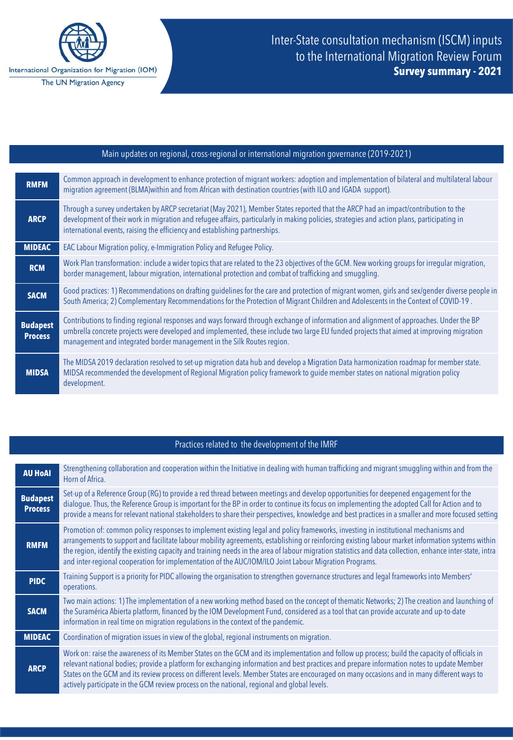

| Main updates on regional, cross-regional or international migration governance (2019-2021) |                                                                                                                                                                                                                                                                                                                                                                 |
|--------------------------------------------------------------------------------------------|-----------------------------------------------------------------------------------------------------------------------------------------------------------------------------------------------------------------------------------------------------------------------------------------------------------------------------------------------------------------|
|                                                                                            |                                                                                                                                                                                                                                                                                                                                                                 |
| <b>RMFM</b>                                                                                | Common approach in development to enhance protection of migrant workers: adoption and implementation of bilateral and multilateral labour<br>migration agreement (BLMA) within and from African with destination countries (with ILO and IGADA support).                                                                                                        |
| <b>ARCP</b>                                                                                | Through a survey undertaken by ARCP secretariat (May 2021), Member States reported that the ARCP had an impact/contribution to the<br>development of their work in migration and refugee affairs, particularly in making policies, strategies and action plans, participating in<br>international events, raising the efficiency and establishing partnerships. |
| <b>MIDEAC</b>                                                                              | EAC Labour Migration policy, e-Immigration Policy and Refugee Policy.                                                                                                                                                                                                                                                                                           |
| <b>RCM</b>                                                                                 | Work Plan transformation: include a wider topics that are related to the 23 objectives of the GCM. New working groups for irregular migration,<br>border management, labour migration, international protection and combat of trafficking and smuggling.                                                                                                        |
| <b>SACM</b>                                                                                | Good practices: 1) Recommendations on drafting quidelines for the care and protection of migrant women, girls and sex/gender diverse people in<br>South America; 2) Complementary Recommendations for the Protection of Migrant Children and Adolescents in the Context of COVID-19.                                                                            |
| <b>Budapest</b><br><b>Process</b>                                                          | Contributions to finding regional responses and ways forward through exchange of information and alignment of approaches. Under the BP<br>umbrella concrete projects were developed and implemented, these include two large EU funded projects that aimed at improving migration<br>management and integrated border management in the Silk Routes region.     |
| <b>MIDSA</b>                                                                               | The MIDSA 2019 declaration resolved to set-up migration data hub and develop a Migration Data harmonization roadmap for member state.<br>MIDSA recommended the development of Regional Migration policy framework to quide member states on national migration policy<br>development.                                                                           |

## Practices related to the development of the IMRF

| <b>AU HoAI</b>                    | Strengthening collaboration and cooperation within the Initiative in dealing with human trafficking and migrant smuggling within and from the<br>Horn of Africa.                                                                                                                                                                                                                                                                                                                                                                                            |
|-----------------------------------|-------------------------------------------------------------------------------------------------------------------------------------------------------------------------------------------------------------------------------------------------------------------------------------------------------------------------------------------------------------------------------------------------------------------------------------------------------------------------------------------------------------------------------------------------------------|
| <b>Budapest</b><br><b>Process</b> | Set-up of a Reference Group (RG) to provide a red thread between meetings and develop opportunities for deepened engagement for the<br>dialogue. Thus, the Reference Group is important for the BP in order to continue its focus on implementing the adopted Call for Action and to<br>provide a means for relevant national stakeholders to share their perspectives, knowledge and best practices in a smaller and more focused setting                                                                                                                  |
| <b>RMFM</b>                       | Promotion of: common policy responses to implement existing legal and policy frameworks, investing in institutional mechanisms and<br>arrangements to support and facilitate labour mobility agreements, establishing or reinforcing existing labour market information systems within<br>the region, identify the existing capacity and training needs in the area of labour migration statistics and data collection, enhance inter-state, intra<br>and inter-regional cooperation for implementation of the AUC/IOM/ILO Joint Labour Migration Programs. |
| <b>PIDC</b>                       | Training Support is a priority for PIDC allowing the organisation to strengthen governance structures and legal frameworks into Members'<br>operations.                                                                                                                                                                                                                                                                                                                                                                                                     |
| <b>SACM</b>                       | Two main actions: 1) The implementation of a new working method based on the concept of thematic Networks; 2) The creation and launching of<br>the Suramérica Abierta platform, financed by the IOM Development Fund, considered as a tool that can provide accurate and up-to-date<br>information in real time on migration regulations in the context of the pandemic.                                                                                                                                                                                    |
| <b>MIDEAC</b>                     | Coordination of migration issues in view of the global, regional instruments on migration.                                                                                                                                                                                                                                                                                                                                                                                                                                                                  |
| <b>ARCP</b>                       | Work on: raise the awareness of its Member States on the GCM and its implementation and follow up process; build the capacity of officials in<br>relevant national bodies; provide a platform for exchanging information and best practices and prepare information notes to update Member<br>States on the GCM and its review process on different levels. Member States are encouraged on many occasions and in many different ways to<br>actively participate in the GCM review process on the national, regional and global levels.                     |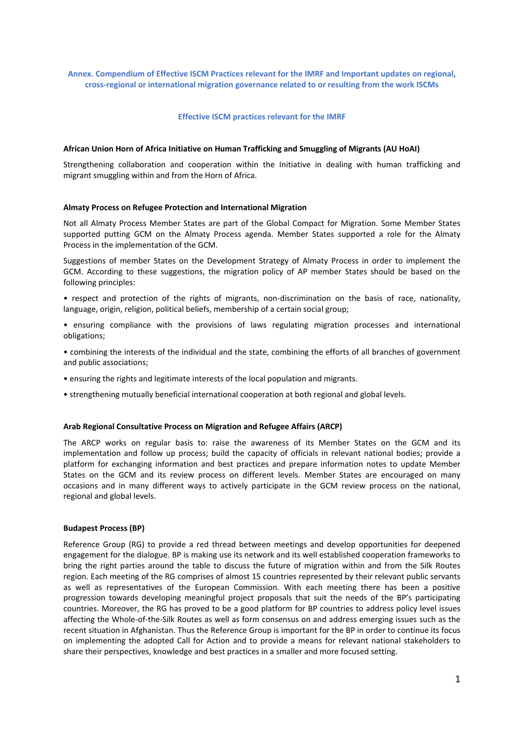## **Annex. Compendium of Effective ISCM Practices relevant for the IMRF and Important updates on regional, cross-regional or international migration governance related to or resulting from the work ISCMs**

#### **Effective ISCM practices relevant for the IMRF**

#### **African Union Horn of Africa Initiative on Human Trafficking and Smuggling of Migrants (AU HoAI)**

Strengthening collaboration and cooperation within the Initiative in dealing with human trafficking and migrant smuggling within and from the Horn of Africa.

#### **Almaty Process on Refugee Protection and International Migration**

Not all Almaty Process Member States are part of the Global Compact for Migration. Some Member States supported putting GCM on the Almaty Process agenda. Member States supported a role for the Almaty Process in the implementation of the GCM.

Suggestions of member States on the Development Strategy of Almaty Process in order to implement the GCM. According to these suggestions, the migration policy of AP member States should be based on the following principles:

- respect and protection of the rights of migrants, non-discrimination on the basis of race, nationality, language, origin, religion, political beliefs, membership of a certain social group;
- ensuring compliance with the provisions of laws regulating migration processes and international obligations;
- combining the interests of the individual and the state, combining the efforts of all branches of government and public associations;
- ensuring the rights and legitimate interests of the local population and migrants.
- strengthening mutually beneficial international cooperation at both regional and global levels.

### **Arab Regional Consultative Process on Migration and Refugee Affairs (ARCP)**

The ARCP works on regular basis to: raise the awareness of its Member States on the GCM and its implementation and follow up process; build the capacity of officials in relevant national bodies; provide a platform for exchanging information and best practices and prepare information notes to update Member States on the GCM and its review process on different levels. Member States are encouraged on many occasions and in many different ways to actively participate in the GCM review process on the national, regional and global levels.

#### **Budapest Process (BP)**

Reference Group (RG) to provide a red thread between meetings and develop opportunities for deepened engagement for the dialogue. BP is making use its network and its well established cooperation frameworks to bring the right parties around the table to discuss the future of migration within and from the Silk Routes region. Each meeting of the RG comprises of almost 15 countries represented by their relevant public servants as well as representatives of the European Commission. With each meeting there has been a positive progression towards developing meaningful project proposals that suit the needs of the BP's participating countries. Moreover, the RG has proved to be a good platform for BP countries to address policy level issues affecting the Whole-of-the-Silk Routes as well as form consensus on and address emerging issues such as the recent situation in Afghanistan. Thus the Reference Group is important for the BP in order to continue its focus on implementing the adopted Call for Action and to provide a means for relevant national stakeholders to share their perspectives, knowledge and best practices in a smaller and more focused setting.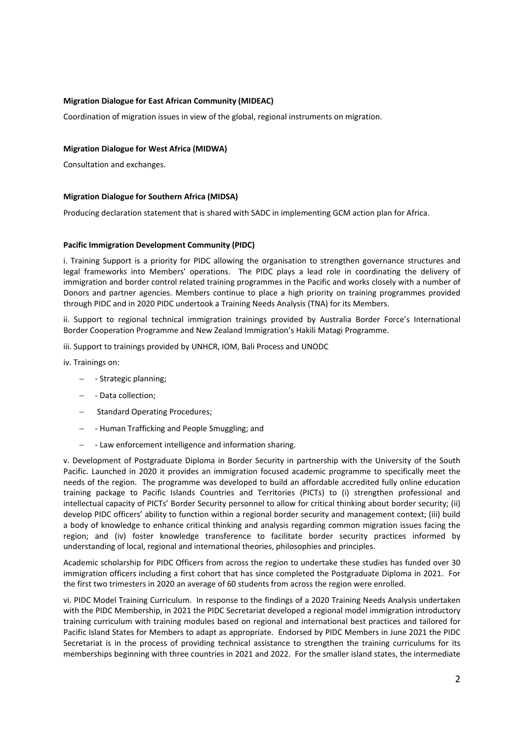## **Migration Dialogue for East African Community (MIDEAC)**

Coordination of migration issues in view of the global, regional instruments on migration.

## **Migration Dialogue for West Africa (MIDWA)**

Consultation and exchanges.

### **Migration Dialogue for Southern Africa (MIDSA)**

Producing declaration statement that is shared with SADC in implementing GCM action plan for Africa.

### **Pacific Immigration Development Community (PIDC)**

i. Training Support is a priority for PIDC allowing the organisation to strengthen governance structures and legal frameworks into Members' operations. The PIDC plays a lead role in coordinating the delivery of immigration and border control related training programmes in the Pacific and works closely with a number of Donors and partner agencies. Members continue to place a high priority on training programmes provided through PIDC and in 2020 PIDC undertook a Training Needs Analysis (TNA) for its Members.

ii. Support to regional technical immigration trainings provided by Australia Border Force's International Border Cooperation Programme and New Zealand Immigration's Hakili Matagi Programme.

iii. Support to trainings provided by UNHCR, IOM, Bali Process and UNODC

iv. Trainings on:

- − Strategic planning;
- − Data collection;
- − Standard Operating Procedures;
- − Human Trafficking and People Smuggling; and
- − Law enforcement intelligence and information sharing.

v. Development of Postgraduate Diploma in Border Security in partnership with the University of the South Pacific. Launched in 2020 it provides an immigration focused academic programme to specifically meet the needs of the region. The programme was developed to build an affordable accredited fully online education training package to Pacific Islands Countries and Territories (PICTs) to (i) strengthen professional and intellectual capacity of PICTs' Border Security personnel to allow for critical thinking about border security; (ii) develop PIDC officers' ability to function within a regional border security and management context; (iii) build a body of knowledge to enhance critical thinking and analysis regarding common migration issues facing the region; and (iv) foster knowledge transference to facilitate border security practices informed by understanding of local, regional and international theories, philosophies and principles.

Academic scholarship for PIDC Officers from across the region to undertake these studies has funded over 30 immigration officers including a first cohort that has since completed the Postgraduate Diploma in 2021. For the first two trimesters in 2020 an average of 60 students from across the region were enrolled.

vi. PIDC Model Training Curriculum. In response to the findings of a 2020 Training Needs Analysis undertaken with the PIDC Membership, in 2021 the PIDC Secretariat developed a regional model immigration introductory training curriculum with training modules based on regional and international best practices and tailored for Pacific Island States for Members to adapt as appropriate. Endorsed by PIDC Members in June 2021 the PIDC Secretariat is in the process of providing technical assistance to strengthen the training curriculums for its memberships beginning with three countries in 2021 and 2022. For the smaller island states, the intermediate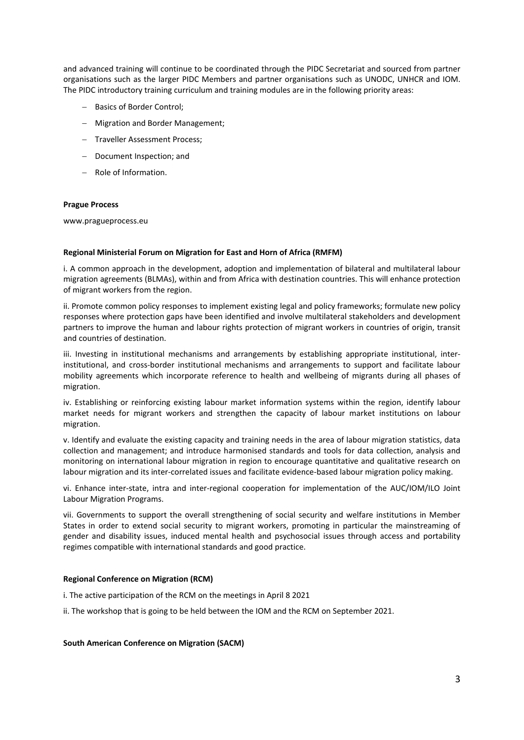and advanced training will continue to be coordinated through the PIDC Secretariat and sourced from partner organisations such as the larger PIDC Members and partner organisations such as UNODC, UNHCR and IOM. The PIDC introductory training curriculum and training modules are in the following priority areas:

- − Basics of Border Control;
- − Migration and Border Management;
- − Traveller Assessment Process;
- − Document Inspection; and
- − Role of Information.

#### **Prague Process**

www.pragueprocess.eu

#### **Regional Ministerial Forum on Migration for East and Horn of Africa (RMFM)**

i. A common approach in the development, adoption and implementation of bilateral and multilateral labour migration agreements (BLMAs), within and from Africa with destination countries. This will enhance protection of migrant workers from the region.

ii. Promote common policy responses to implement existing legal and policy frameworks; formulate new policy responses where protection gaps have been identified and involve multilateral stakeholders and development partners to improve the human and labour rights protection of migrant workers in countries of origin, transit and countries of destination.

iii. Investing in institutional mechanisms and arrangements by establishing appropriate institutional, interinstitutional, and cross-border institutional mechanisms and arrangements to support and facilitate labour mobility agreements which incorporate reference to health and wellbeing of migrants during all phases of migration.

iv. Establishing or reinforcing existing labour market information systems within the region, identify labour market needs for migrant workers and strengthen the capacity of labour market institutions on labour migration.

v. Identify and evaluate the existing capacity and training needs in the area of labour migration statistics, data collection and management; and introduce harmonised standards and tools for data collection, analysis and monitoring on international labour migration in region to encourage quantitative and qualitative research on labour migration and its inter-correlated issues and facilitate evidence-based labour migration policy making.

vi. Enhance inter-state, intra and inter-regional cooperation for implementation of the AUC/IOM/ILO Joint Labour Migration Programs.

vii. Governments to support the overall strengthening of social security and welfare institutions in Member States in order to extend social security to migrant workers, promoting in particular the mainstreaming of gender and disability issues, induced mental health and psychosocial issues through access and portability regimes compatible with international standards and good practice.

#### **Regional Conference on Migration (RCM)**

i. The active participation of the RCM on the meetings in April 8 2021

ii. The workshop that is going to be held between the IOM and the RCM on September 2021.

#### **South American Conference on Migration (SACM)**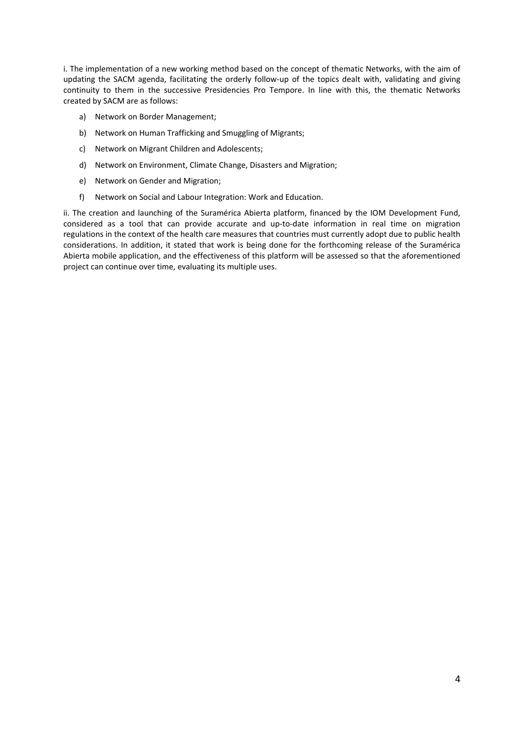i. The implementation of a new working method based on the concept of thematic Networks, with the aim of updating the SACM agenda, facilitating the orderly follow-up of the topics dealt with, validating and giving continuity to them in the successive Presidencies Pro Tempore. In line with this, the thematic Networks created by SACM are as follows:

- a) Network on Border Management;
- b) Network on Human Trafficking and Smuggling of Migrants;
- c) Network on Migrant Children and Adolescents;
- d) Network on Environment, Climate Change, Disasters and Migration;
- e) Network on Gender and Migration;
- f) Network on Social and Labour Integration: Work and Education.

ii. The creation and launching of the Suramérica Abierta platform, financed by the IOM Development Fund, considered as a tool that can provide accurate and up-to-date information in real time on migration regulations in the context of the health care measures that countries must currently adopt due to public health considerations. In addition, it stated that work is being done for the forthcoming release of the Suramérica Abierta mobile application, and the effectiveness of this platform will be assessed so that the aforementioned project can continue over time, evaluating its multiple uses.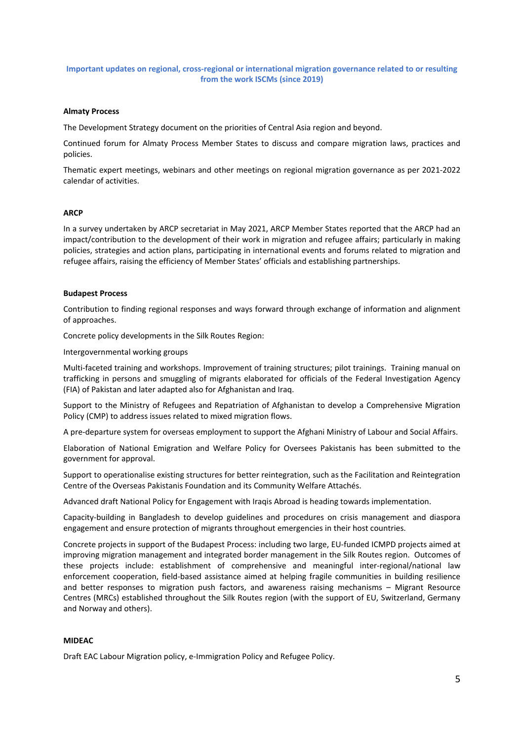## **Important updates on regional, cross-regional or international migration governance related to or resulting from the work ISCMs (since 2019)**

#### **Almaty Process**

The Development Strategy document on the priorities of Central Asia region and beyond.

Continued forum for Almaty Process Member States to discuss and compare migration laws, practices and policies.

Thematic expert meetings, webinars and other meetings on regional migration governance as per 2021-2022 calendar of activities.

### **ARCP**

In a survey undertaken by ARCP secretariat in May 2021, ARCP Member States reported that the ARCP had an impact/contribution to the development of their work in migration and refugee affairs; particularly in making policies, strategies and action plans, participating in international events and forums related to migration and refugee affairs, raising the efficiency of Member States' officials and establishing partnerships.

#### **Budapest Process**

Contribution to finding regional responses and ways forward through exchange of information and alignment of approaches.

Concrete policy developments in the Silk Routes Region:

Intergovernmental working groups

Multi-faceted training and workshops. Improvement of training structures; pilot trainings. Training manual on trafficking in persons and smuggling of migrants elaborated for officials of the Federal Investigation Agency (FIA) of Pakistan and later adapted also for Afghanistan and Iraq.

Support to the Ministry of Refugees and Repatriation of Afghanistan to develop a Comprehensive Migration Policy (CMP) to address issues related to mixed migration flows.

A pre-departure system for overseas employment to support the Afghani Ministry of Labour and Social Affairs.

Elaboration of National Emigration and Welfare Policy for Oversees Pakistanis has been submitted to the government for approval.

Support to operationalise existing structures for better reintegration, such as the Facilitation and Reintegration Centre of the Overseas Pakistanis Foundation and its Community Welfare Attachés.

Advanced draft National Policy for Engagement with Iraqis Abroad is heading towards implementation.

Capacity-building in Bangladesh to develop guidelines and procedures on crisis management and diaspora engagement and ensure protection of migrants throughout emergencies in their host countries.

Concrete projects in support of the Budapest Process: including two large, EU-funded ICMPD projects aimed at improving migration management and integrated border management in the Silk Routes region. Outcomes of these projects include: establishment of comprehensive and meaningful inter-regional/national law enforcement cooperation, field-based assistance aimed at helping fragile communities in building resilience and better responses to migration push factors, and awareness raising mechanisms – Migrant Resource Centres (MRCs) established throughout the Silk Routes region (with the support of EU, Switzerland, Germany and Norway and others).

#### **MIDEAC**

Draft EAC Labour Migration policy, e-Immigration Policy and Refugee Policy.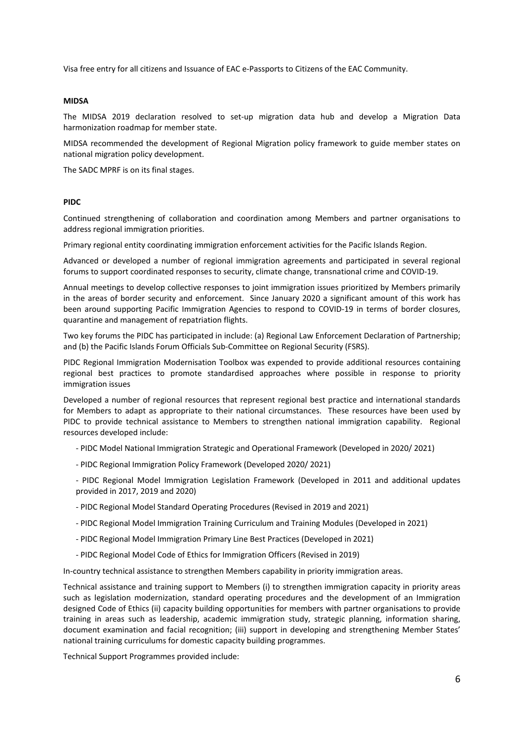Visa free entry for all citizens and Issuance of EAC e-Passports to Citizens of the EAC Community.

#### **MIDSA**

The MIDSA 2019 declaration resolved to set-up migration data hub and develop a Migration Data harmonization roadmap for member state.

MIDSA recommended the development of Regional Migration policy framework to guide member states on national migration policy development.

The SADC MPRF is on its final stages.

#### **PIDC**

Continued strengthening of collaboration and coordination among Members and partner organisations to address regional immigration priorities.

Primary regional entity coordinating immigration enforcement activities for the Pacific Islands Region.

Advanced or developed a number of regional immigration agreements and participated in several regional forums to support coordinated responses to security, climate change, transnational crime and COVID-19.

Annual meetings to develop collective responses to joint immigration issues prioritized by Members primarily in the areas of border security and enforcement. Since January 2020 a significant amount of this work has been around supporting Pacific Immigration Agencies to respond to COVID-19 in terms of border closures, quarantine and management of repatriation flights.

Two key forums the PIDC has participated in include: (a) Regional Law Enforcement Declaration of Partnership; and (b) the Pacific Islands Forum Officials Sub-Committee on Regional Security (FSRS).

PIDC Regional Immigration Modernisation Toolbox was expended to provide additional resources containing regional best practices to promote standardised approaches where possible in response to priority immigration issues

Developed a number of regional resources that represent regional best practice and international standards for Members to adapt as appropriate to their national circumstances. These resources have been used by PIDC to provide technical assistance to Members to strengthen national immigration capability. Regional resources developed include:

- PIDC Model National Immigration Strategic and Operational Framework (Developed in 2020/ 2021)

- PIDC Regional Immigration Policy Framework (Developed 2020/ 2021)

- PIDC Regional Model Immigration Legislation Framework (Developed in 2011 and additional updates provided in 2017, 2019 and 2020)

- PIDC Regional Model Standard Operating Procedures (Revised in 2019 and 2021)
- PIDC Regional Model Immigration Training Curriculum and Training Modules (Developed in 2021)
- PIDC Regional Model Immigration Primary Line Best Practices (Developed in 2021)
- PIDC Regional Model Code of Ethics for Immigration Officers (Revised in 2019)

In-country technical assistance to strengthen Members capability in priority immigration areas.

Technical assistance and training support to Members (i) to strengthen immigration capacity in priority areas such as legislation modernization, standard operating procedures and the development of an Immigration designed Code of Ethics (ii) capacity building opportunities for members with partner organisations to provide training in areas such as leadership, academic immigration study, strategic planning, information sharing, document examination and facial recognition; (iii) support in developing and strengthening Member States' national training curriculums for domestic capacity building programmes.

Technical Support Programmes provided include: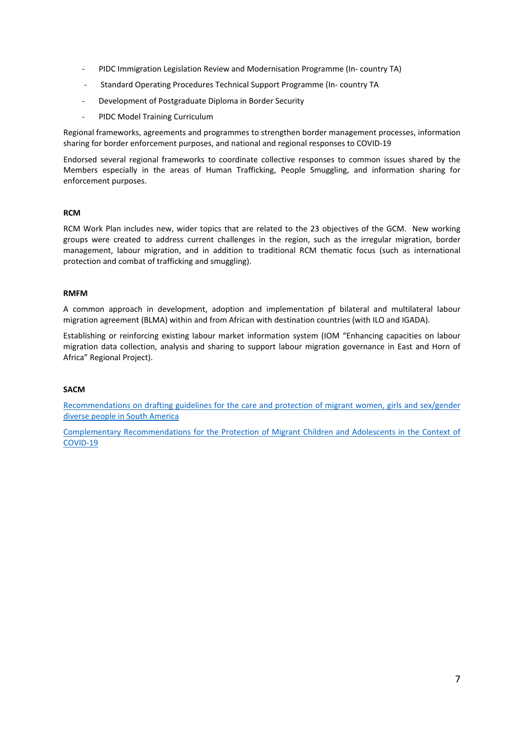- PIDC Immigration Legislation Review and Modernisation Programme (In- country TA)
- Standard Operating Procedures Technical Support Programme (In- country TA
- Development of Postgraduate Diploma in Border Security
- PIDC Model Training Curriculum

Regional frameworks, agreements and programmes to strengthen border management processes, information sharing for border enforcement purposes, and national and regional responses to COVID-19

Endorsed several regional frameworks to coordinate collective responses to common issues shared by the Members especially in the areas of Human Trafficking, People Smuggling, and information sharing for enforcement purposes.

## **RCM**

RCM Work Plan includes new, wider topics that are related to the 23 objectives of the GCM. New working groups were created to address current challenges in the region, such as the irregular migration, border management, labour migration, and in addition to traditional RCM thematic focus (such as international protection and combat of trafficking and smuggling).

### **RMFM**

A common approach in development, adoption and implementation pf bilateral and multilateral labour migration agreement (BLMA) within and from African with destination countries (with ILO and IGADA).

Establishing or reinforcing existing labour market information system (IOM "Enhancing capacities on labour migration data collection, analysis and sharing to support labour migration governance in East and Horn of Africa" Regional Project).

#### **SACM**

Recommendations on drafting [guidelines for the care and protection of migrant women, girls and sex/gender](https://csmigraciones.org/sites/default/files/2021-%209/Gender%20and%20Migration%20Network%20Document%20-%20Recommendations%20Guidelines%20Gender.pdf) [diverse people in South America](https://csmigraciones.org/sites/default/files/2021-%209/Gender%20and%20Migration%20Network%20Document%20-%20Recommendations%20Guidelines%20Gender.pdf)

[Complementary Recommendations for the Protection of Migrant Children and Adolescents in the Context of](https://csmigraciones.org/es/conferencias-csm/xix-conferencia-suramericana-sobre-migraciones)  [COVID-19](https://csmigraciones.org/es/conferencias-csm/xix-conferencia-suramericana-sobre-migraciones)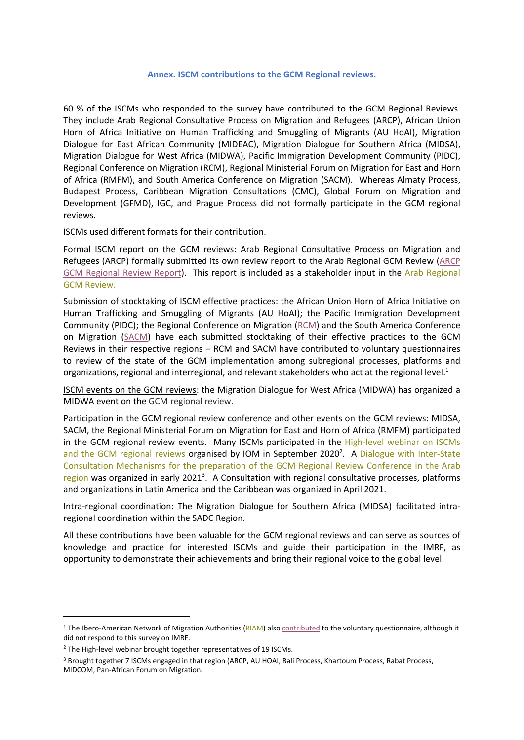## **Annex. ISCM contributions to the GCM Regional reviews.**

60 % of the ISCMs who responded to the survey have contributed to the GCM Regional Reviews. They include Arab Regional Consultative Process on Migration and Refugees (ARCP), African Union Horn of Africa Initiative on Human Trafficking and Smuggling of Migrants (AU HoAI), Migration Dialogue for East African Community (MIDEAC), Migration Dialogue for Southern Africa (MIDSA), Migration Dialogue for West Africa (MIDWA), Pacific Immigration Development Community (PIDC), Regional Conference on Migration (RCM), Regional Ministerial Forum on Migration for East and Horn of Africa (RMFM), and South America Conference on Migration (SACM). Whereas Almaty Process, Budapest Process, Caribbean Migration Consultations (CMC), Global Forum on Migration and Development (GFMD), IGC, and Prague Process did not formally participate in the GCM regional reviews.

ISCMs used different formats for their contribution.

Formal ISCM report on the GCM reviews: Arab Regional Consultative Process on Migration and Refugees (ARCP) formally submitted its own review report to the Arab Regional GCM Review [\(ARCP](https://eur02.safelinks.protection.outlook.com/?url=https%3A%2F%2Fmigrationnetwork.un.org%2Fsites%2Fdefault%2Ffiles%2Fdocs%2Farab_regional_consultative_process_on_migration_and_refugees_-_arcp_regional_review.pdf&data=04%7C01%7Ckgalstyan%40iom.int%7C0a563b5f82f04bc72ce408d997d50ab3%7C1588262d23fb43b4bd6ebce49c8e6186%7C1%7C0%7C637707763521541915%7CUnknown%7CTWFpbGZsb3d8eyJWIjoiMC4wLjAwMDAiLCJQIjoiV2luMzIiLCJBTiI6Ik1haWwiLCJXVCI6Mn0%3D%7C1000&sdata=nm5ao3H5iJu36ebqGuWB8O37rsr5MbRaGF1vTN1lk%2Fc%3D&reserved=0)  [GCM Regional Review Report\)](https://eur02.safelinks.protection.outlook.com/?url=https%3A%2F%2Fmigrationnetwork.un.org%2Fsites%2Fdefault%2Ffiles%2Fdocs%2Farab_regional_consultative_process_on_migration_and_refugees_-_arcp_regional_review.pdf&data=04%7C01%7Ckgalstyan%40iom.int%7C0a563b5f82f04bc72ce408d997d50ab3%7C1588262d23fb43b4bd6ebce49c8e6186%7C1%7C0%7C637707763521541915%7CUnknown%7CTWFpbGZsb3d8eyJWIjoiMC4wLjAwMDAiLCJQIjoiV2luMzIiLCJBTiI6Ik1haWwiLCJXVCI6Mn0%3D%7C1000&sdata=nm5ao3H5iJu36ebqGuWB8O37rsr5MbRaGF1vTN1lk%2Fc%3D&reserved=0). This report is included as a stakeholder input in the [Arab Regional](https://migrationnetwork.un.org/country-regional-network/arab-states)  [GCM Review.](https://migrationnetwork.un.org/country-regional-network/arab-states)

Submission of stocktaking of ISCM effective practices: the African Union Horn of Africa Initiative on Human Trafficking and Smuggling of Migrants (AU HoAI); the Pacific Immigration Development Community (PIDC); the Regional Conference on Migration [\(RCM\)](https://eur02.safelinks.protection.outlook.com/?url=https%3A%2F%2Fmigrationnetwork.un.org%2Fsites%2Fdefault%2Ffiles%2Fresources_files%2Fcuestionario-se_crm.pdf&data=04%7C01%7Ckgalstyan%40iom.int%7C0a563b5f82f04bc72ce408d997d50ab3%7C1588262d23fb43b4bd6ebce49c8e6186%7C1%7C0%7C637707763521551911%7CUnknown%7CTWFpbGZsb3d8eyJWIjoiMC4wLjAwMDAiLCJQIjoiV2luMzIiLCJBTiI6Ik1haWwiLCJXVCI6Mn0%3D%7C1000&sdata=rrUEeyGe4Sq4vuuknSrbI6zkbg69Rae%2FXxAmLOziDDE%3D&reserved=0) and the South America Conference on Migration [\(SACM\)](https://eur02.safelinks.protection.outlook.com/?url=https%3A%2F%2Fmigrationnetwork.un.org%2Fsites%2Fdefault%2Ffiles%2Fresources_files%2Fconferencia_suramerica_sobre_migraciones_csm.pdf&data=04%7C01%7Ckgalstyan%40iom.int%7C0a563b5f82f04bc72ce408d997d50ab3%7C1588262d23fb43b4bd6ebce49c8e6186%7C1%7C0%7C637707763521541915%7CUnknown%7CTWFpbGZsb3d8eyJWIjoiMC4wLjAwMDAiLCJQIjoiV2luMzIiLCJBTiI6Ik1haWwiLCJXVCI6Mn0%3D%7C1000&sdata=cJDNdnTbLMh8SoN95Dpj%2BrS3Icuqx59p5qu%2FVNC2TOc%3D&reserved=0) have each submitted stocktaking of their effective practices to the GCM Reviews in their respective regions – RCM and SACM have contributed to voluntary questionnaires to review of the state of the GCM implementation among subregional processes, platforms and organizations, regional and interregional, and relevant stakeholders who act at the regional level.<sup>1</sup>

ISCM events on the GCM reviews: the Migration Dialogue for West Africa (MIDWA) has organized a MIDWA event on the GCM regional review.

Participation in the GCM regional review conference and other events on the GCM reviews: MIDSA, SACM, the Regional Ministerial Forum on Migration for East and Horn of Africa (RMFM) participated in the GCM regional review events. Many ISCMs participated in the [High-level webinar](https://www.iom.int/high-level-webinars-iscms-and-gcm-regional-review-2020) on ISCMs [and the GCM regional reviews](https://www.iom.int/high-level-webinars-iscms-and-gcm-regional-review-2020) organised by IOM in September 2020<sup>2</sup>. A Dialogue with Inter-State [Consultation Mechanisms for the preparation of the GCM Regional Review Conference in the Arab](https://eur02.safelinks.protection.outlook.com/?url=https%3A%2F%2Fmigrationnetwork.un.org%2Fsites%2Fdefault%2Ffiles%2Fdocs%2Fiscms_report_en.pdf&data=04%7C01%7Ckgalstyan%40iom.int%7C0a563b5f82f04bc72ce408d997d50ab3%7C1588262d23fb43b4bd6ebce49c8e6186%7C1%7C0%7C637707763521561903%7CUnknown%7CTWFpbGZsb3d8eyJWIjoiMC4wLjAwMDAiLCJQIjoiV2luMzIiLCJBTiI6Ik1haWwiLCJXVCI6Mn0%3D%7C1000&sdata=KRfTAucy1MTo%2FUCzTEnsPtsbD23s4vau8xpjkllt0Iw%3D&reserved=0)  [region](https://eur02.safelinks.protection.outlook.com/?url=https%3A%2F%2Fmigrationnetwork.un.org%2Fsites%2Fdefault%2Ffiles%2Fdocs%2Fiscms_report_en.pdf&data=04%7C01%7Ckgalstyan%40iom.int%7C0a563b5f82f04bc72ce408d997d50ab3%7C1588262d23fb43b4bd6ebce49c8e6186%7C1%7C0%7C637707763521561903%7CUnknown%7CTWFpbGZsb3d8eyJWIjoiMC4wLjAwMDAiLCJQIjoiV2luMzIiLCJBTiI6Ik1haWwiLCJXVCI6Mn0%3D%7C1000&sdata=KRfTAucy1MTo%2FUCzTEnsPtsbD23s4vau8xpjkllt0Iw%3D&reserved=0) was organized in early 2021<sup>3</sup>. A Consultation with regional consultative processes, platforms and organizations in Latin America and the Caribbean was organized in April 2021.

Intra-regional coordination: The Migration Dialogue for Southern Africa (MIDSA) facilitated intraregional coordination within the SADC Region.

All these contributions have been valuable for the GCM regional reviews and can serve as sources of knowledge and practice for interested ISCMs and guide their participation in the IMRF, as opportunity to demonstrate their achievements and bring their regional voice to the global level.

<sup>&</sup>lt;sup>1</sup> The Ibero-American Network of Migration Authorities [\(RIAM\)](https://eur02.safelinks.protection.outlook.com/?url=https%3A%2F%2Fmigrationnetwork.un.org%2Fsites%2Fdefault%2Ffiles%2Fresources_files%2Fred_iberoamericana_de_autoridades_migratorias_riam.pdf&data=04%7C01%7Ckgalstyan%40iom.int%7C0a563b5f82f04bc72ce408d997d50ab3%7C1588262d23fb43b4bd6ebce49c8e6186%7C1%7C0%7C637707763521551911%7CUnknown%7CTWFpbGZsb3d8eyJWIjoiMC4wLjAwMDAiLCJQIjoiV2luMzIiLCJBTiI6Ik1haWwiLCJXVCI6Mn0%3D%7C1000&sdata=WqcYtES89J2Sy4V5yYSgrgEDRQd3BdqY5UtvsoHFT70%3D&reserved=0) als[o contributed](https://eur02.safelinks.protection.outlook.com/?url=https%3A%2F%2Fmigrationnetwork.un.org%2Fsites%2Fdefault%2Ffiles%2Fresources_files%2Fred_iberoamericana_de_autoridades_migratorias_riam.pdf&data=04%7C01%7Ckgalstyan%40iom.int%7C0a563b5f82f04bc72ce408d997d50ab3%7C1588262d23fb43b4bd6ebce49c8e6186%7C1%7C0%7C637707763521551911%7CUnknown%7CTWFpbGZsb3d8eyJWIjoiMC4wLjAwMDAiLCJQIjoiV2luMzIiLCJBTiI6Ik1haWwiLCJXVCI6Mn0%3D%7C1000&sdata=WqcYtES89J2Sy4V5yYSgrgEDRQd3BdqY5UtvsoHFT70%3D&reserved=0) to the voluntary questionnaire, although it did not respond to this survey on IMRF.

<sup>&</sup>lt;sup>2</sup> The High-level webinar brought together representatives of 19 ISCMs.

<sup>&</sup>lt;sup>3</sup> Brought together 7 ISCMs engaged in that region (ARCP, AU HOAI, Bali Process, Khartoum Process, Rabat Process, MIDCOM, Pan-African Forum on Migration.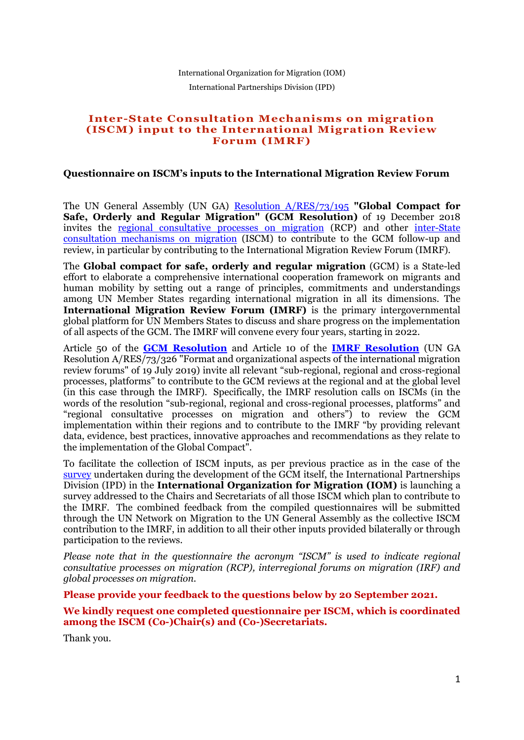## International Organization for Migration (IOM) International Partnerships Division (IPD)

## **Inter-State Consultation Mechanisms on migration (ISCM) input to the International Migration Review Forum (IMRF)**

## **Questionnaire on ISCM's inputs to the International Migration Review Forum**

The UN General Assembly (UN GA) [Resolution A/RES/73/195](https://www.un.org/en/development/desa/population/migration/generalassembly/docs/globalcompact/A_RES_73_195.pdf) **"Global Compact for Safe, Orderly and Regular Migration" (GCM Resolution)** of 19 December 2018 invites the [regional consultative processes on migration](https://www.iom.int/regional-consultative-processes-migration) (RCP) and other [inter-State](https://www.iom.int/inter-state-consultation-mechanisms-migration)  [consultation mechanisms on migration](https://www.iom.int/inter-state-consultation-mechanisms-migration) (ISCM) to contribute to the GCM follow-up and review, in particular by contributing to the International Migration Review Forum (IMRF).

The **Global compact for safe, orderly and regular migration** (GCM) is a State-led effort to elaborate a comprehensive international cooperation framework on migrants and human mobility by setting out a range of principles, commitments and understandings among UN Member States regarding international migration in all its dimensions. The **International Migration Review Forum (IMRF)** is the primary intergovernmental global platform for UN Members States to discuss and share progress on the implementation of all aspects of the GCM. The IMRF will convene every four years, starting in 2022.

Article 50 of the **[GCM Resolution](https://www.un.org/en/development/desa/population/migration/generalassembly/docs/globalcompact/A_RES_73_195.pdf)** and Article 10 of the **[IMRF Resolution](https://undocs.org/en/A/RES/73/326)** (UN GA Resolution A/RES/73/326 "Format and organizational aspects of the international migration review forums" of 19 July 2019) invite all relevant "sub-regional, regional and cross-regional processes, platforms" to contribute to the GCM reviews at the regional and at the global level (in this case through the IMRF). Specifically, the IMRF resolution calls on ISCMs (in the words of the resolution "sub-regional, regional and cross-regional processes, platforms" and "regional consultative processes on migration and others") to review the GCM implementation within their regions and to contribute to the IMRF "by providing relevant data, evidence, best practices, innovative approaches and recommendations as they relate to the implementation of the Global Compact".

To facilitate the collection of ISCM inputs, as per previous practice as in the case of the [survey](https://www.iom.int/sites/default/files/our_work/ICP/RCP/2017/GRCP7-Survey-Results-Summary.pdf) undertaken during the development of the GCM itself, the International Partnerships Division (IPD) in the **International Organization for Migration (IOM)** is launching a survey addressed to the Chairs and Secretariats of all those ISCM which plan to contribute to the IMRF. The combined feedback from the compiled questionnaires will be submitted through the UN Network on Migration to the UN General Assembly as the collective ISCM contribution to the IMRF, in addition to all their other inputs provided bilaterally or through participation to the reviews.

*Please note that in the questionnaire the acronym "ISCM" is used to indicate regional consultative processes on migration (RCP), interregional forums on migration (IRF) and global processes on migration.*

**Please provide your feedback to the questions below by 20 September 2021.**

**We kindly request one completed questionnaire per ISCM, which is coordinated among the ISCM (Co-)Chair(s) and (Co-)Secretariats.**

Thank you.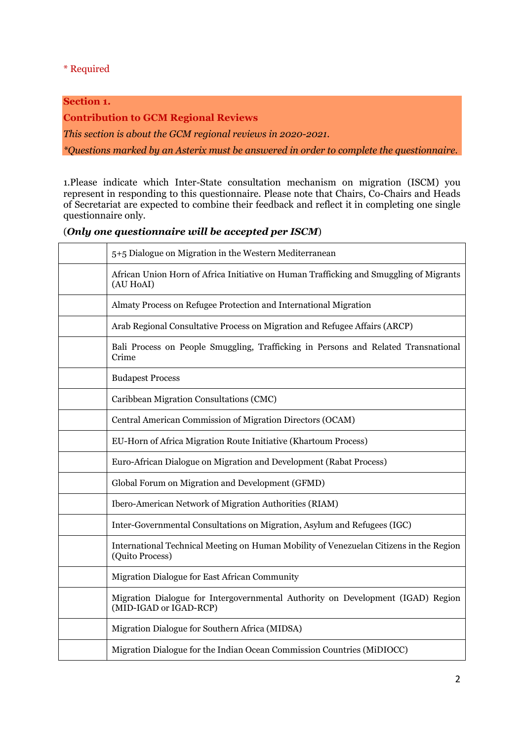## \* Required

# **Section 1.**

**Contribution to GCM Regional Reviews**

*This section is about the GCM regional reviews in 2020-2021.*

*\*Questions marked by an Asterix must be answered in order to complete the questionnaire.*

1.Please indicate which Inter-State consultation mechanism on migration (ISCM) you represent in responding to this questionnaire. Please note that Chairs, Co-Chairs and Heads of Secretariat are expected to combine their feedback and reflect it in completing one single questionnaire only.

## (*Only one questionnaire will be accepted per ISCM*)

| 5+5 Dialogue on Migration in the Western Mediterranean                                                    |
|-----------------------------------------------------------------------------------------------------------|
| African Union Horn of Africa Initiative on Human Trafficking and Smuggling of Migrants<br>(AU HoAI)       |
| Almaty Process on Refugee Protection and International Migration                                          |
| Arab Regional Consultative Process on Migration and Refugee Affairs (ARCP)                                |
| Bali Process on People Smuggling, Trafficking in Persons and Related Transnational<br>Crime               |
| <b>Budapest Process</b>                                                                                   |
| Caribbean Migration Consultations (CMC)                                                                   |
| Central American Commission of Migration Directors (OCAM)                                                 |
| EU-Horn of Africa Migration Route Initiative (Khartoum Process)                                           |
| Euro-African Dialogue on Migration and Development (Rabat Process)                                        |
| Global Forum on Migration and Development (GFMD)                                                          |
| Ibero-American Network of Migration Authorities (RIAM)                                                    |
| Inter-Governmental Consultations on Migration, Asylum and Refugees (IGC)                                  |
| International Technical Meeting on Human Mobility of Venezuelan Citizens in the Region<br>(Quito Process) |
| Migration Dialogue for East African Community                                                             |
| Migration Dialogue for Intergovernmental Authority on Development (IGAD) Region<br>(MID-IGAD or IGAD-RCP) |
| Migration Dialogue for Southern Africa (MIDSA)                                                            |
| Migration Dialogue for the Indian Ocean Commission Countries (MiDIOCC)                                    |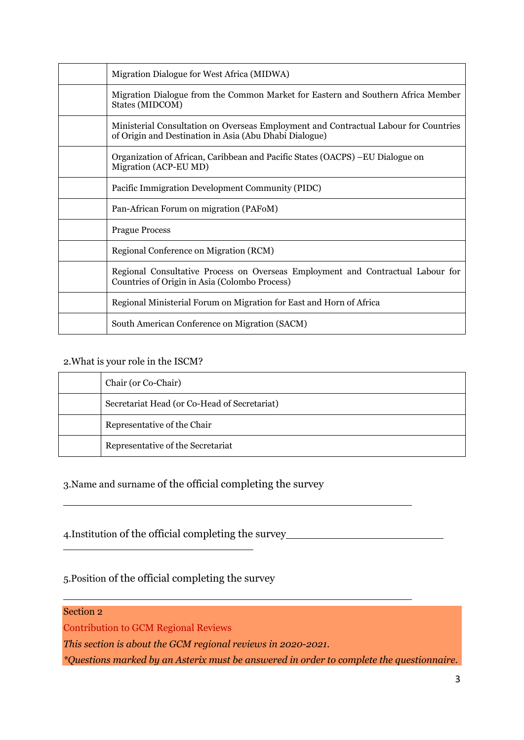| Migration Dialogue for West Africa (MIDWA)                                                                                                     |
|------------------------------------------------------------------------------------------------------------------------------------------------|
| Migration Dialogue from the Common Market for Eastern and Southern Africa Member<br>States (MIDCOM)                                            |
| Ministerial Consultation on Overseas Employment and Contractual Labour for Countries<br>of Origin and Destination in Asia (Abu Dhabi Dialogue) |
| Organization of African, Caribbean and Pacific States (OACPS) – EU Dialogue on<br>Migration (ACP-EU MD)                                        |
| Pacific Immigration Development Community (PIDC)                                                                                               |
| Pan-African Forum on migration (PAFoM)                                                                                                         |
| <b>Prague Process</b>                                                                                                                          |
| Regional Conference on Migration (RCM)                                                                                                         |
| Regional Consultative Process on Overseas Employment and Contractual Labour for<br>Countries of Origin in Asia (Colombo Process)               |
| Regional Ministerial Forum on Migration for East and Horn of Africa                                                                            |
| South American Conference on Migration (SACM)                                                                                                  |

# 2.What is your role in the ISCM?

| Chair (or Co-Chair)                          |
|----------------------------------------------|
| Secretariat Head (or Co-Head of Secretariat) |
| Representative of the Chair                  |
| Representative of the Secretariat            |

# 3.Name and surname of the official completing the survey

# 4.Institution of the official completing the survey

# 5.Position of the official completing the survey

# Section 2

Contribution to GCM Regional Reviews

*This section is about the GCM regional reviews in 2020-2021.*

*\*Questions marked by an Asterix must be answered in order to complete the questionnaire.*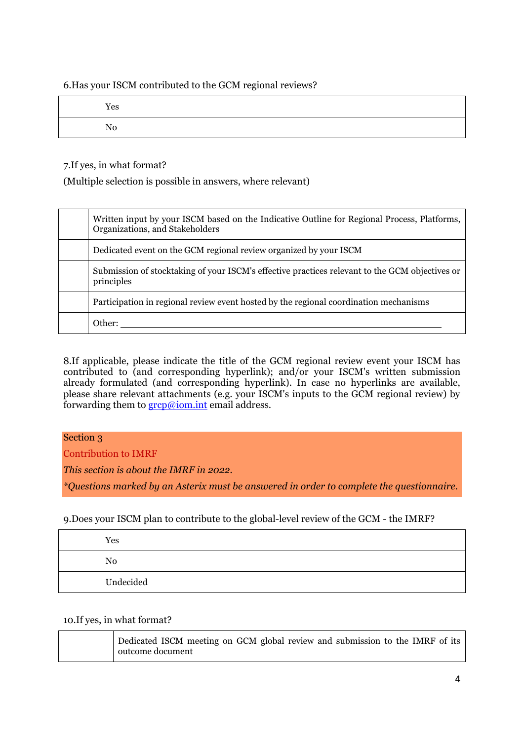6.Has your ISCM contributed to the GCM regional reviews?

| Yes |
|-----|
| No  |

# 7.If yes, in what format?

(Multiple selection is possible in answers, where relevant)

| Written input by your ISCM based on the Indicative Outline for Regional Process, Platforms,<br>Organizations, and Stakeholders |
|--------------------------------------------------------------------------------------------------------------------------------|
| Dedicated event on the GCM regional review organized by your ISCM                                                              |
| Submission of stocktaking of your ISCM's effective practices relevant to the GCM objectives or<br>principles                   |
| Participation in regional review event hosted by the regional coordination mechanisms                                          |
| Other:                                                                                                                         |

8.If applicable, please indicate the title of the GCM regional review event your ISCM has contributed to (and corresponding hyperlink); and/or your ISCM's written submission already formulated (and corresponding hyperlink). In case no hyperlinks are available, please share relevant attachments (e.g. your ISCM's inputs to the GCM regional review) by forwarding them to [grcp@iom.int](mailto:grcp@iom.int) email address.

# Section 3

Contribution to IMRF

*This section is about the IMRF in 2022.*

*\*Questions marked by an Asterix must be answered in order to complete the questionnaire.*

# 9.Does your ISCM plan to contribute to the global-level review of the GCM - the IMRF?

| Yes            |
|----------------|
| N <sub>0</sub> |
| Undecided      |

## 10.If yes, in what format?

| Dedicated ISCM meeting on GCM global review and submission to the IMRF of its |
|-------------------------------------------------------------------------------|
| outcome document                                                              |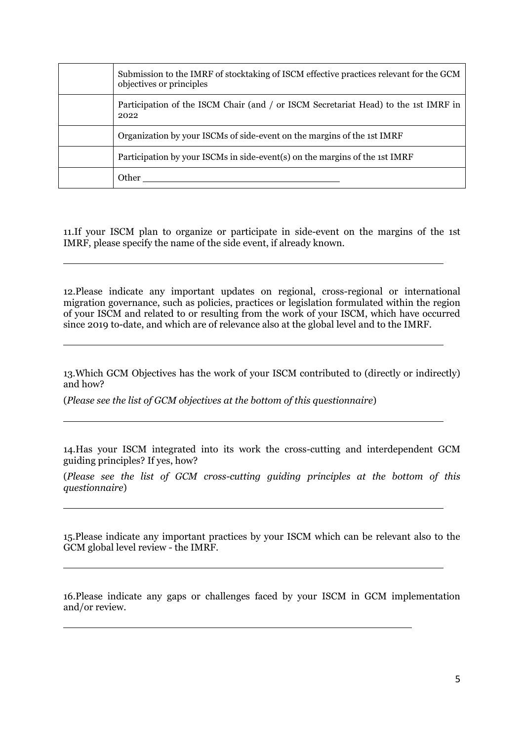| Submission to the IMRF of stocktaking of ISCM effective practices relevant for the GCM<br>objectives or principles |
|--------------------------------------------------------------------------------------------------------------------|
| Participation of the ISCM Chair (and / or ISCM Secretariat Head) to the 1st IMRF in<br>2022                        |
| Organization by your ISCMs of side-event on the margins of the 1st IMRF                                            |
| Participation by your ISCMs in side-event(s) on the margins of the 1st IMRF                                        |
| Other                                                                                                              |

11.If your ISCM plan to organize or participate in side-event on the margins of the 1st IMRF, please specify the name of the side event, if already known.

12.Please indicate any important updates on regional, cross-regional or international migration governance, such as policies, practices or legislation formulated within the region of your ISCM and related to or resulting from the work of your ISCM, which have occurred since 2019 to-date, and which are of relevance also at the global level and to the IMRF.

13.Which GCM Objectives has the work of your ISCM contributed to (directly or indirectly) and how?

(*Please see the list of GCM objectives at the bottom of this questionnaire*)

14.Has your ISCM integrated into its work the cross-cutting and interdependent GCM guiding principles? If yes, how?

(*Please see the list of GCM cross-cutting guiding principles at the bottom of this questionnaire*)

15.Please indicate any important practices by your ISCM which can be relevant also to the GCM global level review - the IMRF.

16.Please indicate any gaps or challenges faced by your ISCM in GCM implementation and/or review.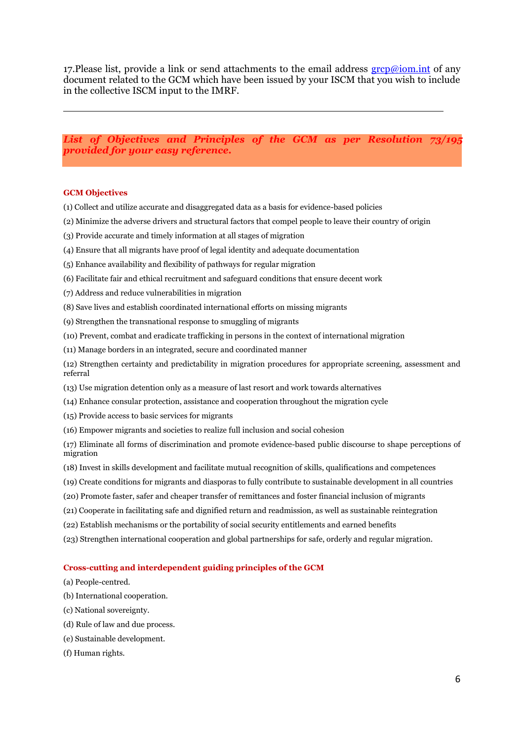17. Please list, provide a link or send attachments to the email address  $\frac{\text{group}}{\text{group}}$  iom. document related to the GCM which have been issued by your ISCM that you wish to include in the collective ISCM input to the IMRF.

*List of Objectives and Principles of the GCM as per Resolution 73/195 provided for your easy reference.*

#### **GCM Objectives**

- (1) Collect and utilize accurate and disaggregated data as a basis for evidence-based policies
- (2) Minimize the adverse drivers and structural factors that compel people to leave their country of origin
- (3) Provide accurate and timely information at all stages of migration
- (4) Ensure that all migrants have proof of legal identity and adequate documentation
- (5) Enhance availability and flexibility of pathways for regular migration
- (6) Facilitate fair and ethical recruitment and safeguard conditions that ensure decent work
- (7) Address and reduce vulnerabilities in migration
- (8) Save lives and establish coordinated international efforts on missing migrants
- (9) Strengthen the transnational response to smuggling of migrants
- (10) Prevent, combat and eradicate trafficking in persons in the context of international migration
- (11) Manage borders in an integrated, secure and coordinated manner
- (12) Strengthen certainty and predictability in migration procedures for appropriate screening, assessment and referral
- (13) Use migration detention only as a measure of last resort and work towards alternatives
- (14) Enhance consular protection, assistance and cooperation throughout the migration cycle
- (15) Provide access to basic services for migrants
- (16) Empower migrants and societies to realize full inclusion and social cohesion

(17) Eliminate all forms of discrimination and promote evidence-based public discourse to shape perceptions of migration

- (18) Invest in skills development and facilitate mutual recognition of skills, qualifications and competences
- (19) Create conditions for migrants and diasporas to fully contribute to sustainable development in all countries
- (20) Promote faster, safer and cheaper transfer of remittances and foster financial inclusion of migrants
- (21) Cooperate in facilitating safe and dignified return and readmission, as well as sustainable reintegration
- (22) Establish mechanisms or the portability of social security entitlements and earned benefits
- (23) Strengthen international cooperation and global partnerships for safe, orderly and regular migration.

#### **Cross-cutting and interdependent guiding principles of the GCM**

- (a) People-centred.
- (b) International cooperation.
- (c) National sovereignty.
- (d) Rule of law and due process.
- (e) Sustainable development.
- (f) Human rights.